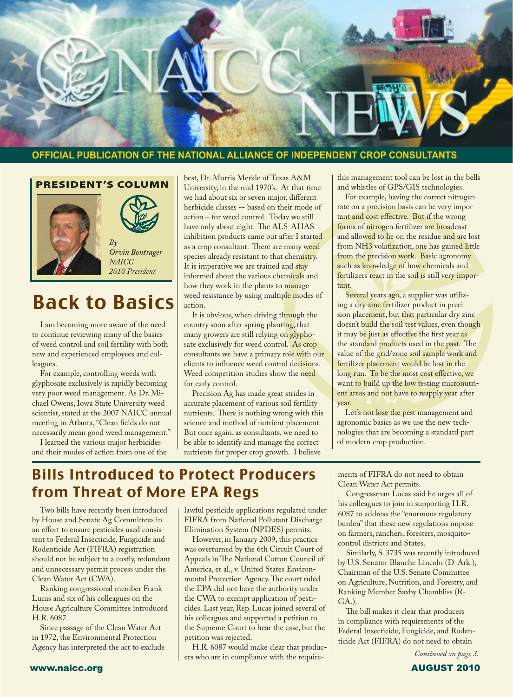

#### **OFFICIAL PUBLICATION OF THE NATIONAL ALLIANCE OF INDEPENDENT CROP CONSULTANTS**

PRESIDENT'S COLUMN





*Orvin Bontrager NAICC 2010 President*

## Back to Basics

 I am becoming more aware of the need to continue reviewing many of the basics of weed control and soil fertility with both new and experienced employees and colleagues.

 For example, controlling weeds with glyphosate exclusively is rapidly becoming very poor weed management. As Dr. Michael Owens, Iowa State University weed scientist, stated at the 2007 NAICC annual meeting in Atlanta,"Clean fields do not necessarily mean good weed management."

 I learned the various major herbicides and their modes of action from one of the

best, Dr. Morris Merkle of Texas A&M University, in the mid 1970's. At that time we had about six or seven major, different herbicide classes -- based on their mode of action – for weed control. Today we still have only about eight. The ALS-AHAS inhibition products came out after I started as a crop consultant. There are many weed species already resistant to that chemistry. It is imperative we are trained and stay informed about the various chemicals and how they work in the plants to manage weed resistance by using multiple modes of action.

It is obvious, when driving through the country soon after spring planting, that many growers are still relying on glyphosate exclusively for weed control. As crop consultants we have a primary role with our clients to influence weed control decisions. Weed competition studies show the need for early control.

 Precision Ag has made great strides in accurate placement of various soil fertility nutrients. There is nothing wrong with this science and method of nutrient placement. But once again, as consultants, we need to be able to identify and manage the correct nutrients for proper crop growth. I believe

this management tool can be lost in the bells and whistles of GPS/GIS technologies.

 For example, having the correct nitrogen rate on a precision basis can be very important and cost effective. But if the wrong forms of nitrogen fertilizer are broadcast and allowed to lie on the residue and are lost from NH3 volatization, one has gained little from the precision work. Basic agronomy such as knowledge of how chemicals and fertilizers react in the soil is still very important.

 Several years ago, a supplier was utilizing a dry zinc fertilizer product in precision placement, but that particular dry zinc doesn't build the soil test values, even though it may be just as effective the first year as the standard products used in the past. The value of the grid/zone soil sample work and fertilizer placement would be lost in the long run. To be the most cost effective, we want to build up the low testing micronutrient areas and not have to reapply year after year.

Let's not lose the pest management and agronomic basics as we use the new technologies that are becoming a standard part of modern crop production.

#### Bills Introduced to Protect Producers from Threat of More EPA Regs

 Two bills have recently been introduced by House and Senate Ag Committees in an effort to ensure pesticides used consistent to Federal Insecticide, Fungicide and Rodenticide Act (FIFRA) registration should not be subject to a costly, redundant and unnecessary permit process under the Clean Water Act (CWA).

 Ranking congressional member Frank Lucas and six of his colleagues on the House Agriculture Committee introduced H.R. 6087.

 Since passage of the Clean Water Act in 1972, the Environmental Protection Agency has interpreted the act to exclude lawful pesticide applications regulated under FIFRA from National Pollutant Discharge Elimination System (NPDES) permits.

 However, in January 2009, this practice was overturned by the 6th Circuit Court of Appeals in The National Cotton Council of America, et al., v. United States Environmental Protection Agency.The court ruled the EPA did not have the authority under the CWA to exempt application of pesticides. Last year, Rep. Lucas joined several of his colleagues and supported a petition to the Supreme Court to hear the case, but the petition was rejected.

 H.R. 6087 would make clear that producers who are in compliance with the requirements of FIFRA do not need to obtain Clean Water Act permits.

 Congressman Lucas said he urges all of his colleagues to join in supporting H.R. 6087 to address the "enormous regulatory burden" that these new regulations impose on farmers, ranchers, foresters, mosquitocontrol districts and States.

 Similarly, S. 3735 was recently introduced by U.S. Senator Blanche Lincoln (D-Ark.), Chairman of the U.S. Senate Committee on Agriculture, Nutrition, and Forestry, and Ranking Member Saxby Chambliss (R-GA.).

 The bill makes it clear that producers in compliance with requirements of the Federal Insecticide, Fungicide, and Rodenticide Act (FIFRA) do not need to obtain

*Continued on page 3.*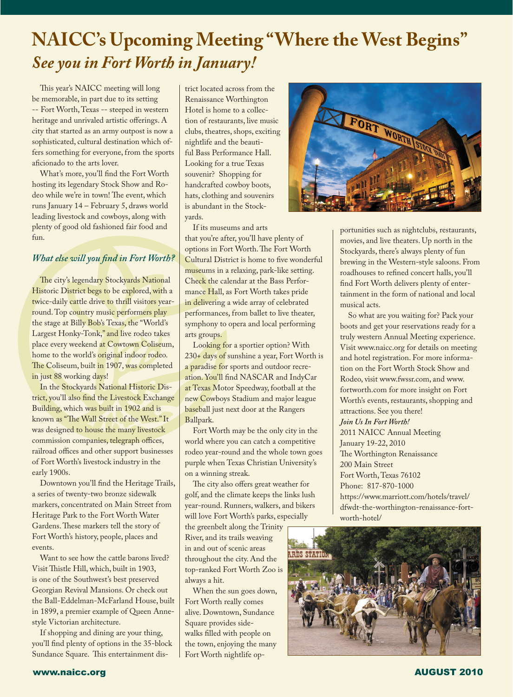## **NAICC's Upcoming Meeting "Where the West Begins"** *See you in Fort Worth in January!*

 This year's NAICC meeting will long be memorable, in part due to its setting -- Fort Worth,Texas -- steeped in western heritage and unrivaled artistic offerings. A city that started as an army outpost is now a sophisticated, cultural destination which offers something for everyone, from the sports aficionado to the arts lover.

 What's more, you'll find the Fort Worth hosting its legendary Stock Show and Rodeo while we're in town! The event, which runs January 14 – February 5, draws world leading livestock and cowboys, along with plenty of good old fashioned fair food and fun.

#### *What else will you find in Fort Worth?*

The city's legendary Stockyards National Historic District begs to be explored, with a twice-daily cattle drive to thrill visitors yearround.Top country music performers play the stage at Billy Bob's Texas, the "World's Largest Honky-Tonk," and live rodeo takes place every weekend at Cowtown Coliseum, home to the world's **original indoor rodeo.** The Coliseum, built in 1907, was completed in just 88 working days!

 In the Stockyards National Historic District, you'll also find the Livestock Exchange Building, which was built in 1902 and is known as "The Wall Street of the West."It was designed to house the many livestock commission companies, telegraph offices, railroad offices and other support businesses of Fort Worth's livestock industry in the early 1900s.

 Downtown you'll find the Heritage Trails, a series of twenty-two bronze sidewalk markers, concentrated on Main Street from Heritage Park to the Fort Worth Water Gardens.These markers tell the story of Fort Worth's history, people, places and events.

Want to see how the cattle barons lived? Visit Thistle Hill, which, built in 1903, is one of the Southwest's best preserved Georgian Revival Mansions. Or check out the Ball-Eddelman-McFarland House, built in 1899, a premier example of Queen Annestyle Victorian architecture.

 If shopping and dining are your thing, you'll find plenty of options in the 35-block Sundance Square. This entertainment district located across from the Renaissance Worthington Hotel is home to a collection of restaurants, live music clubs, theatres, shops, exciting nightlife and the beautiful Bass Performance Hall. Looking for a true Texas souvenir? Shopping for handcrafted cowboy boots, hats, clothing and souvenirs is abundant in the Stockyards.

 If its museums and arts that you're after, you'll have plenty of options in Fort Worth.The Fort Worth Cultural District is home to five wonderful museums in a relaxing, park-like setting. Check the calendar at the Bass Performance Hall, as Fort Worth takes pride in delivering a wide array of celebrated performances, from ballet to live theater, symphony to opera and local performing arts groups.

 Looking for a sportier option? With 230+ days of sunshine a year, Fort Worth is a paradise for sports and outdoor recreation. You'll find NASCAR and IndyCar at Texas Motor Speedway, football at the new Cowboys Stadium and major league baseball just next door at the Rangers Ballpark.

 Fort Worth may be the only city in the world where you can catch a competitive rodeo year-round and the whole town goes purple when Texas Christian University's on a winning streak.

 The city also offers great weather for golf, and the climate keeps the links lush year-round. Runners, walkers, and bikers will love Fort Worth's parks, especially

the greenbelt along the Trinity River, and its trails weaving in and out of scenic areas throughout the city. And the top-ranked Fort Worth Zoo is always a hit.

 When the sun goes down, Fort Worth really comes alive. Downtown, Sundance Square provides sidewalks filled with people on the town, enjoying the many Fort Worth nightlife op-



portunities such as nightclubs, restaurants, movies, and live theaters. Up north in the Stockyards, there's always plenty of fun brewing in the Western-style saloons. From roadhouses to refined concert halls, you'll find Fort Worth delivers plenty of entertainment in the form of national and local musical acts.

 So what are you waiting for? Pack your boots and get your reservations ready for a truly western Annual Meeting experience. Visit www.naicc.org for details on meeting and hotel registration. For more information on the Fort Worth Stock Show and Rodeo, visit www.fwssr.com, and www. fortworth.com for more insight on Fort Worth's events, restaurants, shopping and attractions. See you there! *Join Us In Fort Worth!* 2011 NAICC Annual Meeting January 19-22, 2010 The Worthington Renaissance 200 Main Street Fort Worth, Texas 76102 Phone: 817-870-1000 https://www.marriott.com/hotels/travel/ dfwdt-the-worthington-renaissance-fortworth-hotel/

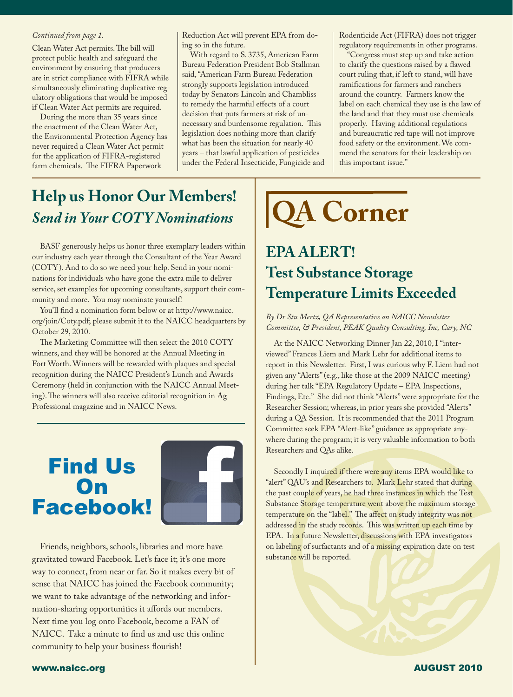Clean Water Act permits.The bill will protect public health and safeguard the environment by ensuring that producers are in strict compliance with FIFRA while simultaneously eliminating duplicative regulatory obligations that would be imposed if Clean Water Act permits are required.

 During the more than 35 years since the enactment of the Clean Water Act, the Environmental Protection Agency has never required a Clean Water Act permit for the application of FIFRA-registered farm chemicals. The FIFRA Paperwork

Reduction Act will prevent EPA from doing so in the future. *Continued from page 1.* | Reduction Act will prevent EPA from do- | Rodenticide Act (FIFRA) does not trigger

> With regard to S. 3735, American Farm Bureau Federation President Bob Stallman said,"American Farm Bureau Federation strongly supports legislation introduced today by Senators Lincoln and Chambliss to remedy the harmful effects of a court decision that puts farmers at risk of unnecessary and burdensome regulation. This legislation does nothing more than clarify what has been the situation for nearly 40 years – that lawful application of pesticides under the Federal Insecticide, Fungicide and

regulatory requirements in other programs.

 "Congress must step up and take action to clarify the questions raised by a flawed court ruling that, if left to stand, will have ramifications for farmers and ranchers around the country. Farmers know the label on each chemical they use is the law of the land and that they must use chemicals properly. Having additional regulations and bureaucratic red tape will not improve food safety or the environment.We commend the senators for their leadership on this important issue."

### **Help us Honor Our Members!**  *Send in Your COTY Nominations*

 BASF generously helps us honor three exemplary leaders within our industry each year through the Consultant of the Year Award (COTY ). And to do so we need your help. Send in your nominations for individuals who have gone the extra mile to deliver service, set examples for upcoming consultants, support their community and more. You may nominate yourself!

 You'll find a nomination form below or at http://www.naicc. org/join/Coty.pdf; please submit it to the NAICC headquarters by October 29, 2010.

 The Marketing Committee will then select the 2010 COTY winners, and they will be honored at the Annual Meeting in Fort Worth.Winners will be rewarded with plaques and special recognition during the NAICC President's Lunch and Awards Ceremony (held in conjunction with the NAICC Annual Meeting).The winners will also receive editorial recognition in Ag Professional magazine and in NAICC News.

## Find Us **On** Facebook!



 Friends, neighbors, schools, libraries and more have gravitated toward Facebook. Let's face it; it's one more way to connect, from near or far. So it makes every bit of sense that NAICC has joined the Facebook community; we want to take advantage of the networking and information-sharing opportunities it affords our members. Next time you log onto Facebook, become a FAN of NAICC. Take a minute to find us and use this online community to help your business flourish! 

# **QA Corner**

#### **EPA ALERT! Test Substance Storage Temperature Limits Exceeded**

#### *By Dr Stu Mertz, QA Representative on NAICC Newsletter Committee, & President, PEAK Quality Consulting, Inc, Cary, NC*

At the NAICC Networking Dinner Jan 22, 2010, I "interviewed" Frances Liem and Mark Lehr for additional items to report in this Newsletter. First,I was curious why F. Liem had not given any "Alerts"(e.g., like those at the 2009 NAICC meeting) during her talk "EPA Regulatory Update – EPA Inspections, Findings, Etc." She did not think "Alerts"were appropriate for the Researcher Session; whereas, in prior years she provided "Alerts" during a QA Session. It is recommended that the 2011 Program Committee seek EPA "Alert-like" guidance as appropriate anywhere during the program; it is very valuable information to both Researchers and QAs alike.

Secondly I inquired if there were any items EPA would like to "alert" QAU's and Researchers to. Mark Lehr stated that during the past couple of years, he had three instances in which the Test Substance Storage temperature went above the maximum storage temperature on the "label." The affect on study integrity was not addressed in the study records. This was written up each time by EPA. In a future Newsletter, discussions with EPA investigators on labeling of surfactants and of a missing expiration date on test substance will be reported.